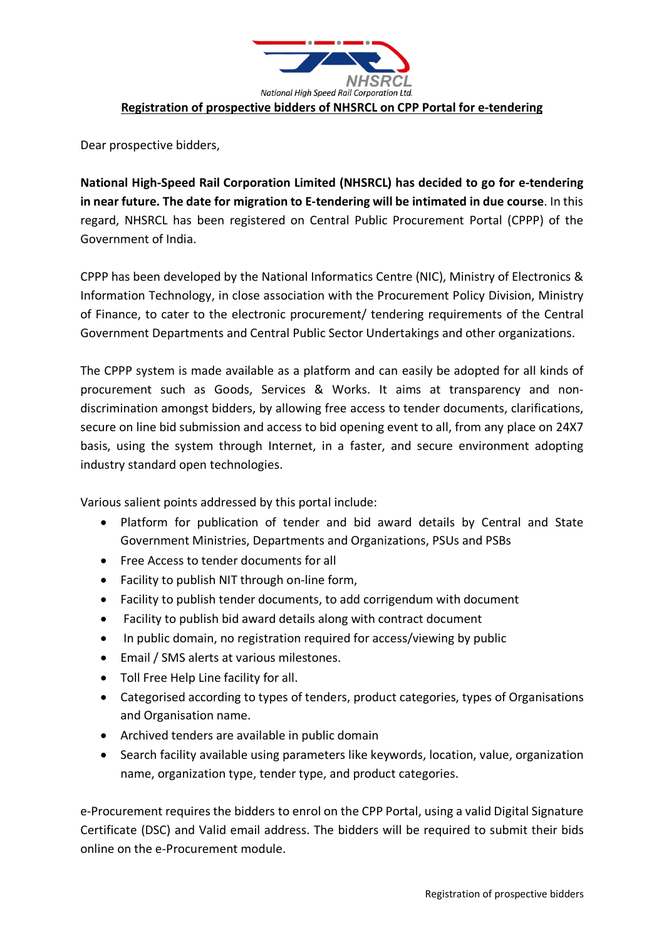

Dear prospective bidders,

**National High-Speed Rail Corporation Limited (NHSRCL) has decided to go for e-tendering in near future. The date for migration to E-tendering will be intimated in due course**. In this regard, NHSRCL has been registered on Central Public Procurement Portal (CPPP) of the Government of India.

CPPP has been developed by the National Informatics Centre (NIC), Ministry of Electronics & Information Technology, in close association with the Procurement Policy Division, Ministry of Finance, to cater to the electronic procurement/ tendering requirements of the Central Government Departments and Central Public Sector Undertakings and other organizations.

The CPPP system is made available as a platform and can easily be adopted for all kinds of procurement such as Goods, Services & Works. It aims at transparency and nondiscrimination amongst bidders, by allowing free access to tender documents, clarifications, secure on line bid submission and access to bid opening event to all, from any place on 24X7 basis, using the system through Internet, in a faster, and secure environment adopting industry standard open technologies.

Various salient points addressed by this portal include:

- Platform for publication of tender and bid award details by Central and State Government Ministries, Departments and Organizations, PSUs and PSBs
- Free Access to tender documents for all
- Facility to publish NIT through on-line form,
- Facility to publish tender documents, to add corrigendum with document
- Facility to publish bid award details along with contract document
- In public domain, no registration required for access/viewing by public
- Email / SMS alerts at various milestones.
- Toll Free Help Line facility for all.
- Categorised according to types of tenders, product categories, types of Organisations and Organisation name.
- Archived tenders are available in public domain
- Search facility available using parameters like keywords, location, value, organization name, organization type, tender type, and product categories.

e-Procurement requires the bidders to enrol on the CPP Portal, using a valid Digital Signature Certificate (DSC) and Valid email address. The bidders will be required to submit their bids online on the e-Procurement module.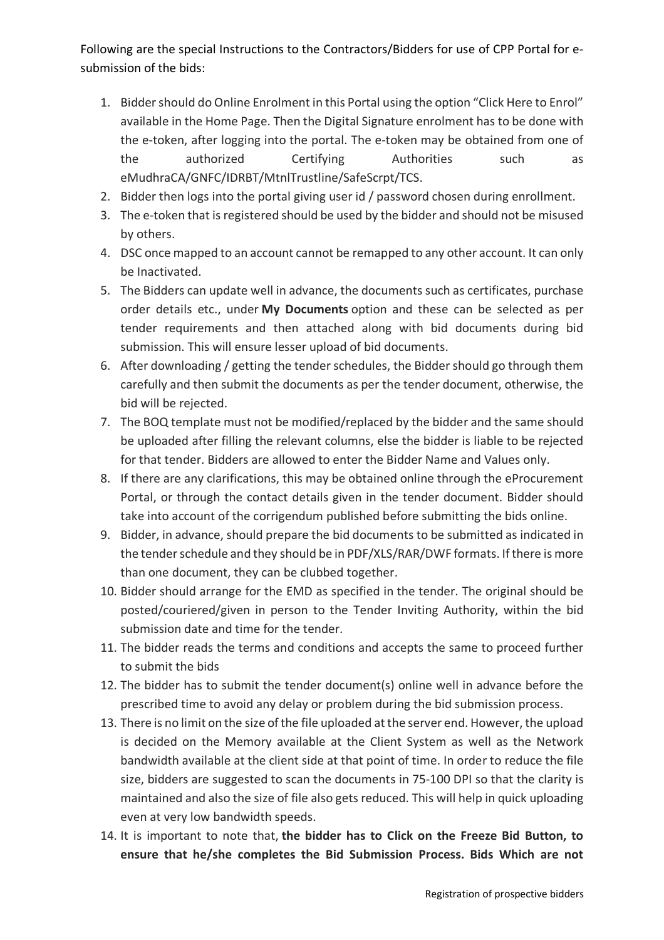Following are the special Instructions to the Contractors/Bidders for use of CPP Portal for esubmission of the bids:

- 1. Bidder should do Online Enrolment in this Portal using the option "Click Here to Enrol" available in the Home Page. Then the Digital Signature enrolment has to be done with the e-token, after logging into the portal. The e-token may be obtained from one of the authorized Certifying Authorities such as eMudhraCA/GNFC/IDRBT/MtnlTrustline/SafeScrpt/TCS.
- 2. Bidder then logs into the portal giving user id / password chosen during enrollment.
- 3. The e-token that is registered should be used by the bidder and should not be misused by others.
- 4. DSC once mapped to an account cannot be remapped to any other account. It can only be Inactivated.
- 5. The Bidders can update well in advance, the documents such as certificates, purchase order details etc., under **My Documents** option and these can be selected as per tender requirements and then attached along with bid documents during bid submission. This will ensure lesser upload of bid documents.
- 6. After downloading / getting the tender schedules, the Bidder should go through them carefully and then submit the documents as per the tender document, otherwise, the bid will be rejected.
- 7. The BOQ template must not be modified/replaced by the bidder and the same should be uploaded after filling the relevant columns, else the bidder is liable to be rejected for that tender. Bidders are allowed to enter the Bidder Name and Values only.
- 8. If there are any clarifications, this may be obtained online through the eProcurement Portal, or through the contact details given in the tender document. Bidder should take into account of the corrigendum published before submitting the bids online.
- 9. Bidder, in advance, should prepare the bid documents to be submitted as indicated in the tender schedule and they should be in PDF/XLS/RAR/DWF formats. If there is more than one document, they can be clubbed together.
- 10. Bidder should arrange for the EMD as specified in the tender. The original should be posted/couriered/given in person to the Tender Inviting Authority, within the bid submission date and time for the tender.
- 11. The bidder reads the terms and conditions and accepts the same to proceed further to submit the bids
- 12. The bidder has to submit the tender document(s) online well in advance before the prescribed time to avoid any delay or problem during the bid submission process.
- 13. There is no limit on the size of the file uploaded at the server end. However, the upload is decided on the Memory available at the Client System as well as the Network bandwidth available at the client side at that point of time. In order to reduce the file size, bidders are suggested to scan the documents in 75-100 DPI so that the clarity is maintained and also the size of file also gets reduced. This will help in quick uploading even at very low bandwidth speeds.
- 14. It is important to note that, **the bidder has to Click on the Freeze Bid Button, to ensure that he/she completes the Bid Submission Process. Bids Which are not**